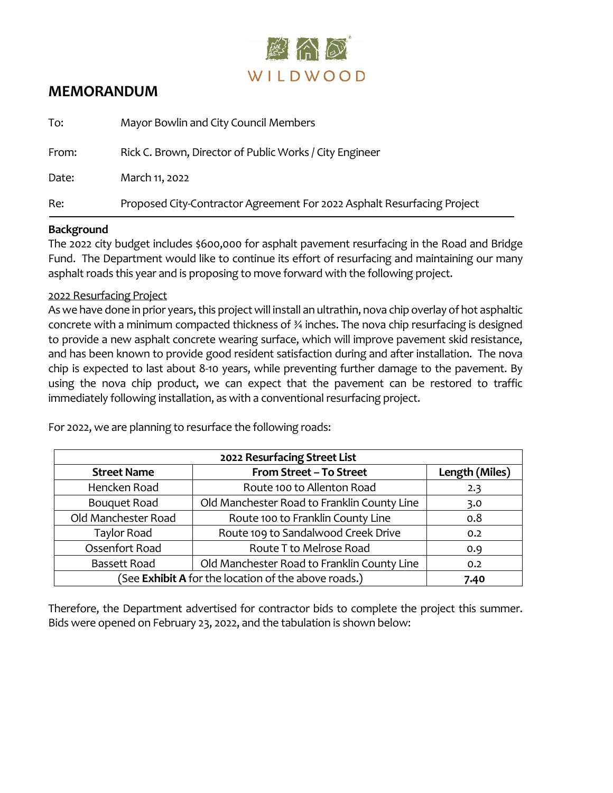

# **MEMORANDUM**

| To:   | Mayor Bowlin and City Council Members                                   |
|-------|-------------------------------------------------------------------------|
| From: | Rick C. Brown, Director of Public Works / City Engineer                 |
| Date: | March 11, 2022                                                          |
| Re:   | Proposed City-Contractor Agreement For 2022 Asphalt Resurfacing Project |

#### **Background**

The 2022 city budget includes \$600,000 for asphalt pavement resurfacing in the Road and Bridge Fund. The Department would like to continue its effort of resurfacing and maintaining our many asphalt roads this year and is proposing to move forward with the following project.

### 2022 Resurfacing Project

As we have done in prior years, this project will install an ultrathin, nova chip overlay of hot asphaltic concrete with a minimum compacted thickness of ¾ inches. The nova chip resurfacing is designed to provide a new asphalt concrete wearing surface, which will improve pavement skid resistance, and has been known to provide good resident satisfaction during and after installation. The nova chip is expected to last about 8-10 years, while preventing further damage to the pavement. By using the nova chip product, we can expect that the pavement can be restored to traffic immediately following installation, as with a conventional resurfacing project.

| 2022 Resurfacing Street List                         |                                             |                |  |  |  |  |  |  |
|------------------------------------------------------|---------------------------------------------|----------------|--|--|--|--|--|--|
| <b>Street Name</b>                                   | From Street - To Street                     | Length (Miles) |  |  |  |  |  |  |
| Hencken Road                                         | Route 100 to Allenton Road                  | 2.3            |  |  |  |  |  |  |
| <b>Bouquet Road</b>                                  | Old Manchester Road to Franklin County Line | 3.0            |  |  |  |  |  |  |
| Old Manchester Road                                  | Route 100 to Franklin County Line           | 0.8            |  |  |  |  |  |  |
| <b>Taylor Road</b>                                   | Route 109 to Sandalwood Creek Drive         | 0.2            |  |  |  |  |  |  |
| Ossenfort Road                                       | Route T to Melrose Road                     | 0.9            |  |  |  |  |  |  |
| <b>Bassett Road</b>                                  | Old Manchester Road to Franklin County Line | 0.2            |  |  |  |  |  |  |
| (See Exhibit A for the location of the above roads.) | 7.40                                        |                |  |  |  |  |  |  |

For 2022, we are planning to resurface the following roads:

Therefore, the Department advertised for contractor bids to complete the project this summer. Bids were opened on February 23, 2022, and the tabulation is shown below: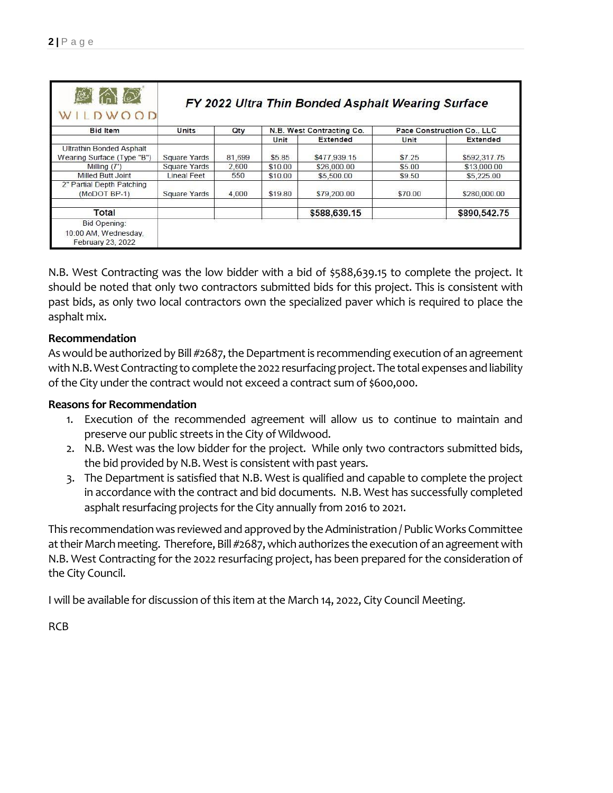| WILDWOOD                                                      |                     | FY 2022 Ultra Thin Bonded Asphalt Wearing Surface |                           |                 |         |                            |  |  |
|---------------------------------------------------------------|---------------------|---------------------------------------------------|---------------------------|-----------------|---------|----------------------------|--|--|
| <b>Bid Item</b>                                               | Units               | Qty                                               | N.B. West Contracting Co. |                 |         | Pace Construction Co., LLC |  |  |
|                                                               |                     |                                                   | Unit                      | <b>Extended</b> | Unit    | <b>Extended</b>            |  |  |
| <b>Ultrathin Bonded Asphalt</b><br>Wearing Surface (Type "B") | <b>Square Yards</b> | 81,699                                            | \$5.85                    | \$477,939.15    | \$7.25  | \$592,317.75               |  |  |
| Milling $(7')$                                                | <b>Square Yards</b> | 2,600                                             | \$10.00                   | \$26,000.00     | \$5.00  | \$13,000.00                |  |  |
| Milled Butt Joint                                             | <b>Lineal Feet</b>  | 550                                               | \$10.00                   | \$5,500.00      | \$9.50  | \$5,225.00                 |  |  |
| 2" Partial Depth Patching<br>(MoDOT BP-1)                     | <b>Square Yards</b> | 4,000                                             | \$19.80                   | \$79,200.00     | \$70.00 | \$280,000.00               |  |  |
| Total                                                         |                     |                                                   |                           | \$588,639.15    |         | \$890,542.75               |  |  |
| Bid Opening:<br>10:00 AM, Wednesday,<br>February 23, 2022     |                     |                                                   |                           |                 |         |                            |  |  |

N.B. West Contracting was the low bidder with a bid of \$588,639.15 to complete the project. It should be noted that only two contractors submitted bids for this project. This is consistent with past bids, as only two local contractors own the specialized paver which is required to place the asphalt mix.

## **Recommendation**

As would be authorized by Bill #2687, the Department is recommending execution of an agreement with N.B. West Contracting to complete the 2022 resurfacing project. The total expenses and liability of the City under the contract would not exceed a contract sum of \$600,000.

## **Reasons for Recommendation**

- 1. Execution of the recommended agreement will allow us to continue to maintain and preserve our public streets in the City of Wildwood.
- 2. N.B. West was the low bidder for the project. While only two contractors submitted bids, the bid provided by N.B. West is consistent with past years.
- 3. The Department is satisfied that N.B. West is qualified and capable to complete the project in accordance with the contract and bid documents. N.B. West has successfully completed asphalt resurfacing projects for the City annually from 2016 to 2021.

This recommendation was reviewed and approved by the Administration / Public Works Committee at their March meeting. Therefore, Bill #2687, which authorizes the execution of an agreement with N.B. West Contracting for the 2022 resurfacing project, has been prepared for the consideration of the City Council.

I will be available for discussion of this item at the March 14, 2022, City Council Meeting.

RCB